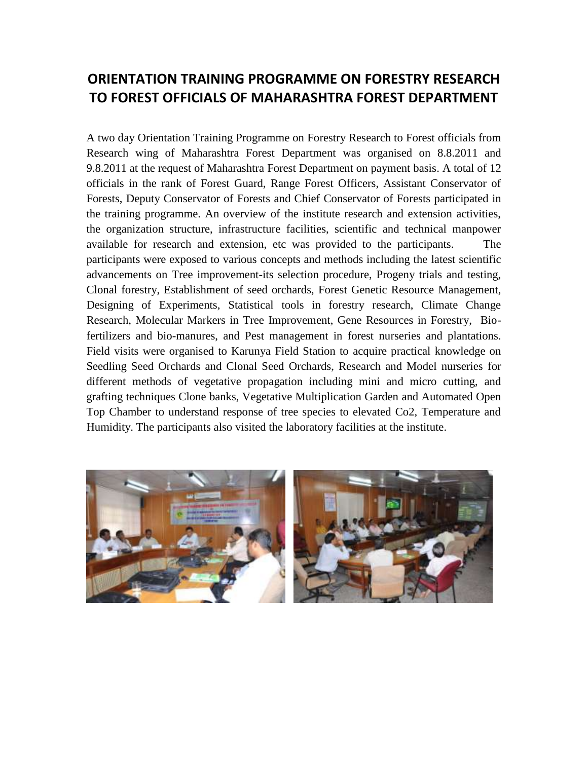## **ORIENTATION TRAINING PROGRAMME ON FORESTRY RESEARCH TO FOREST OFFICIALS OF MAHARASHTRA FOREST DEPARTMENT**

A two day Orientation Training Programme on Forestry Research to Forest officials from Research wing of Maharashtra Forest Department was organised on 8.8.2011 and 9.8.2011 at the request of Maharashtra Forest Department on payment basis. A total of 12 officials in the rank of Forest Guard, Range Forest Officers, Assistant Conservator of Forests, Deputy Conservator of Forests and Chief Conservator of Forests participated in the training programme. An overview of the institute research and extension activities, the organization structure, infrastructure facilities, scientific and technical manpower available for research and extension, etc was provided to the participants. The participants were exposed to various concepts and methods including the latest scientific advancements on Tree improvement-its selection procedure, Progeny trials and testing, Clonal forestry, Establishment of seed orchards, Forest Genetic Resource Management, Designing of Experiments, Statistical tools in forestry research, Climate Change Research, Molecular Markers in Tree Improvement, Gene Resources in Forestry, Biofertilizers and bio-manures, and Pest management in forest nurseries and plantations. Field visits were organised to Karunya Field Station to acquire practical knowledge on Seedling Seed Orchards and Clonal Seed Orchards, Research and Model nurseries for different methods of vegetative propagation including mini and micro cutting, and grafting techniques Clone banks, Vegetative Multiplication Garden and Automated Open Top Chamber to understand response of tree species to elevated Co2, Temperature and Humidity. The participants also visited the laboratory facilities at the institute.